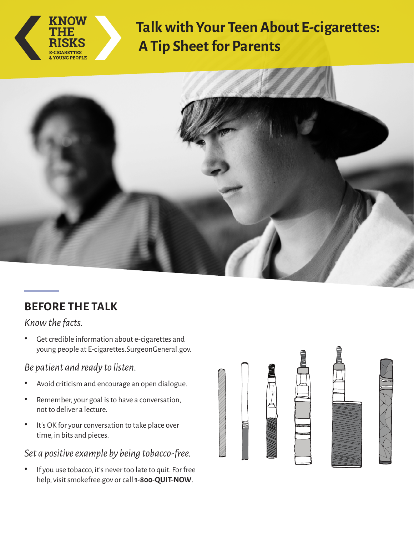

**Talk with Your Teen About E-cigarettes: A Tip Sheet for Parents**



# **BEFORE THE TALK**

*Know the facts.* 

**•** Get credible information about e-cigarettes and young people at E-cigarettes.SurgeonGeneral.gov.

### *Be patient and ready to listen.*

- **•** Avoid criticism and encourage an open dialogue.
- **•** Remember, your goal is to have a conversation, not to deliver a lecture.
- **•** It's OK for your conversation to take place over time, in bits and pieces.

## *Set a positive example by being tobacco-free.*

**•** If you use tobacco, it's never too late to quit. For free help, visit [smokefree.gov](http://smokefree.gov) or call **1-800-QUIT-NOW**.

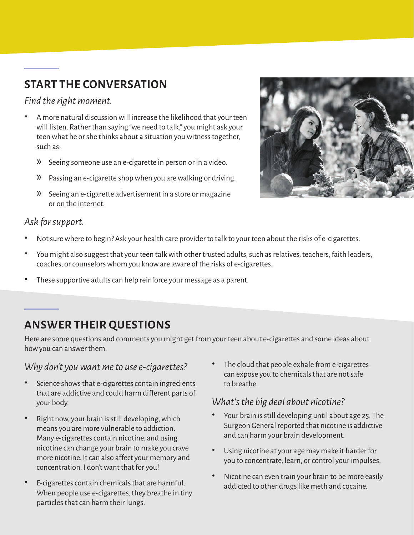# **START THE CONVERSATION**

#### *Find the right moment.*

- **•** A more natural discussion will increase the likelihood that your teen will listen. Rather than saying "we need to talk," you might ask your teen what he or she thinks about a situation you witness together, such as:
	- » Seeing someone use an e-cigarette in person or in a video.
	- » Passing an e-cigarette shop when you are walking or driving.
	- » Seeing an e-cigarette advertisement in a store or magazine or on the internet.

#### *Ask for support.*

- **•** Not sure where to begin? Ask your health care provider to talk to your teen about the risks of e-cigarettes.
- **•** You might also suggest that your teen talk with other trusted adults, such as relatives, teachers, faith leaders, coaches, or counselors whom you know are aware of the risks of e-cigarettes.
- **•** These supportive adults can help reinforce your message as a parent.

# **ANSWER THEIR QUESTIONS**

Here are some questions and comments you might get from your teen about e-cigarettes and some ideas about how you can answer them.

#### *Why don't you want me to use e-cigarettes?*

- **•** Science shows that e-cigarettes contain ingredients that are addictive and could harm different parts of your body.
- **•** Right now, your brain is still developing, which means you are more vulnerable to addiction. Many e-cigarettes contain nicotine, and using nicotine can change your brain to make you crave more nicotine. It can also affect your memory and concentration. I don't want that for you!
- **•** E-cigarettes contain chemicals that are harmful. When people use e-cigarettes, they breathe in tiny particles that can harm their lungs.

**•** The cloud that people exhale from e-cigarettes can expose you to chemicals that are not safe to breathe.

#### *What's the big deal about nicotine?*

- **•** Your brain is still developing until about age 25. The Surgeon General reported that nicotine is addictive and can harm your brain development.
- **•** Using nicotine at your age may make it harder for you to concentrate, learn, or control your impulses.
- **•** Nicotine can even train your brain to be more easily addicted to other drugs like meth and cocaine.

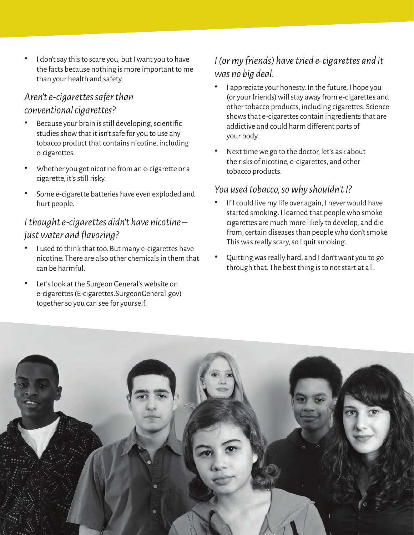**•** I don't say this to scare you, but I want you to have the facts because nothing is more important to me than your health and safety.

## *Aren't e-cigarettes safer than conventional cigarettes?*

- **•** Because your brain is still developing, scientific studies show that it isn't safe for you to use any tobacco product that contains nicotine, including e-cigarettes.
- **•** Whether you get nicotine from an e-cigarette or a cigarette, it's still risky.
- **•** Some e-cigarette batteries have even exploded and hurt people.

## *I thought e-cigarettes didn't have nicotine – just water and flavoring?*

- **•** I used to think that too. But many e-cigarettes have nicotine. There are also other chemicals in them that can be harmful.
- **•** Let's look at the Surgeon General's website on e-cigarettes ([E-cigarettes.SurgeonGeneral.gov](http://E-cigarettes.SurgeonGeneral.gov)) together so you can see for yourself.

## *I (or my friends) have tried e-cigarettes and it was no big deal.*

- **•** I appreciate your honesty. In the future, I hope you (or your friends) will stay away from e-cigarettes and other tobacco products, including cigarettes. Science shows that e-cigarettes contain ingredients that are addictive and could harm different parts of your body.
- **•** Next time we go to the doctor, let's ask about the risks of nicotine, e-cigarettes, and other tobacco products.

### *You used tobacco, so why shouldn't I?*

- **•** If I could live my life over again, I never would have started smoking. I learned that people who smoke cigarettes are much more likely to develop, and die from, certain diseases than people who don't smoke. This was really scary, so I quit smoking.
- **•** Quitting was really hard, and I don't want you to go through that. The best thing is to not start at all.